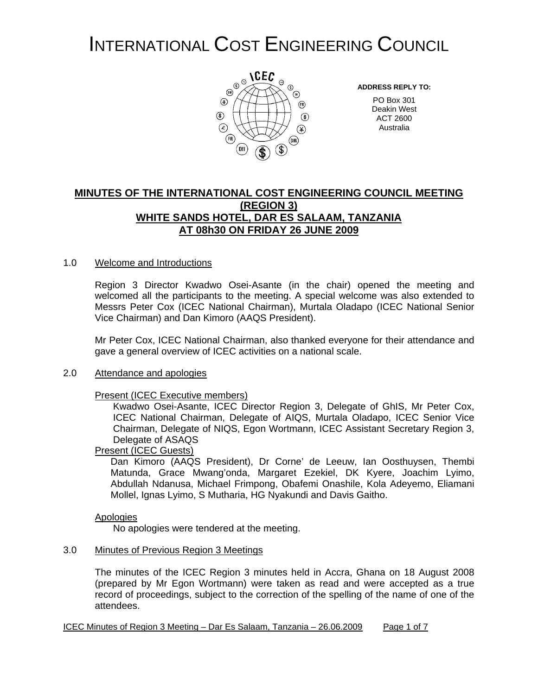## INTERNATIONAL COST ENGINEERING COUNCIL



**ADDRESS REPLY TO:**

PO Box 301 Deakin West ACT 2600 Australia

#### **MINUTES OF THE INTERNATIONAL COST ENGINEERING COUNCIL MEETING (REGION 3) WHITE SANDS HOTEL, DAR ES SALAAM, TANZANIA AT 08h30 ON FRIDAY 26 JUNE 2009**

#### 1.0 Welcome and Introductions

Region 3 Director Kwadwo Osei-Asante (in the chair) opened the meeting and welcomed all the participants to the meeting. A special welcome was also extended to Messrs Peter Cox (ICEC National Chairman), Murtala Oladapo (ICEC National Senior Vice Chairman) and Dan Kimoro (AAQS President).

Mr Peter Cox, ICEC National Chairman, also thanked everyone for their attendance and gave a general overview of ICEC activities on a national scale.

#### 2.0 Attendance and apologies

#### Present (ICEC Executive members)

Kwadwo Osei-Asante, ICEC Director Region 3, Delegate of GhIS, Mr Peter Cox, ICEC National Chairman, Delegate of AIQS, Murtala Oladapo, ICEC Senior Vice Chairman, Delegate of NIQS, Egon Wortmann, ICEC Assistant Secretary Region 3, Delegate of ASAQS

#### Present (ICEC Guests)

Dan Kimoro (AAQS President), Dr Corne' de Leeuw, Ian Oosthuysen, Thembi Matunda, Grace Mwang'onda, Margaret Ezekiel, DK Kyere, Joachim Lyimo, Abdullah Ndanusa, Michael Frimpong, Obafemi Onashile, Kola Adeyemo, Eliamani Mollel, Ignas Lyimo, S Mutharia, HG Nyakundi and Davis Gaitho.

#### Apologies

No apologies were tendered at the meeting.

#### 3.0 Minutes of Previous Region 3 Meetings

The minutes of the ICEC Region 3 minutes held in Accra, Ghana on 18 August 2008 (prepared by Mr Egon Wortmann) were taken as read and were accepted as a true record of proceedings, subject to the correction of the spelling of the name of one of the attendees.

ICEC Minutes of Region 3 Meeting – Dar Es Salaam, Tanzania – 26.06.2009 Page 1 of 7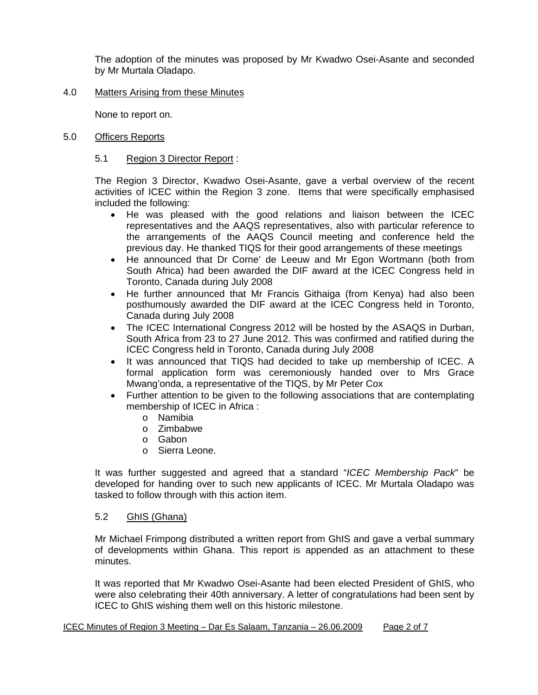The adoption of the minutes was proposed by Mr Kwadwo Osei-Asante and seconded by Mr Murtala Oladapo.

#### 4.0 Matters Arising from these Minutes

None to report on.

#### 5.0 Officers Reports

#### 5.1 Region 3 Director Report :

The Region 3 Director, Kwadwo Osei-Asante, gave a verbal overview of the recent activities of ICEC within the Region 3 zone. Items that were specifically emphasised included the following:

- He was pleased with the good relations and liaison between the ICEC representatives and the AAQS representatives, also with particular reference to the arrangements of the AAQS Council meeting and conference held the previous day. He thanked TIQS for their good arrangements of these meetings
- He announced that Dr Corne' de Leeuw and Mr Egon Wortmann (both from South Africa) had been awarded the DIF award at the ICEC Congress held in Toronto, Canada during July 2008
- He further announced that Mr Francis Githaiga (from Kenya) had also been posthumously awarded the DIF award at the ICEC Congress held in Toronto, Canada during July 2008
- The ICEC International Congress 2012 will be hosted by the ASAQS in Durban, South Africa from 23 to 27 June 2012. This was confirmed and ratified during the ICEC Congress held in Toronto, Canada during July 2008
- It was announced that TIQS had decided to take up membership of ICEC. A formal application form was ceremoniously handed over to Mrs Grace Mwang'onda, a representative of the TIQS, by Mr Peter Cox
- Further attention to be given to the following associations that are contemplating membership of ICEC in Africa :
	- o Namibia
	- o Zimbabwe
	- o Gabon
	- o Sierra Leone.

It was further suggested and agreed that a standard "*ICEC Membership Pack*" be developed for handing over to such new applicants of ICEC. Mr Murtala Oladapo was tasked to follow through with this action item.

#### 5.2 GhIS (Ghana)

Mr Michael Frimpong distributed a written report from GhIS and gave a verbal summary of developments within Ghana. This report is appended as an attachment to these minutes.

It was reported that Mr Kwadwo Osei-Asante had been elected President of GhIS, who were also celebrating their 40th anniversary. A letter of congratulations had been sent by ICEC to GhIS wishing them well on this historic milestone.

#### ICEC Minutes of Region 3 Meeting – Dar Es Salaam, Tanzania – 26.06.2009 Page 2 of 7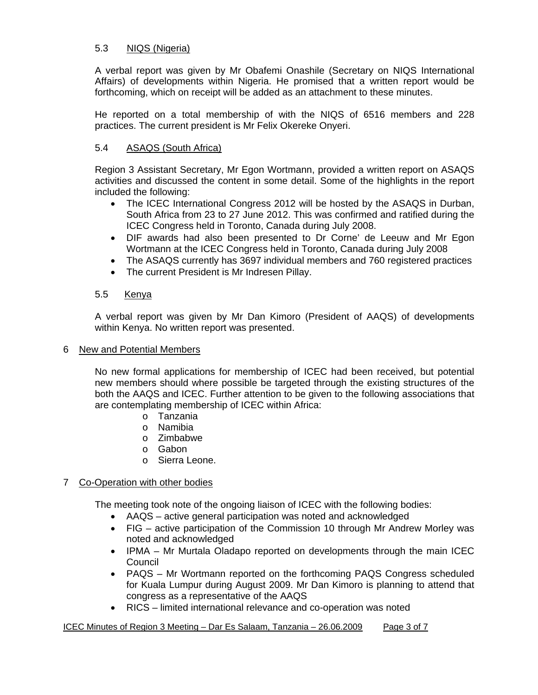#### 5.3 NIQS (Nigeria)

A verbal report was given by Mr Obafemi Onashile (Secretary on NIQS International Affairs) of developments within Nigeria. He promised that a written report would be forthcoming, which on receipt will be added as an attachment to these minutes.

He reported on a total membership of with the NIQS of 6516 members and 228 practices. The current president is Mr Felix Okereke Onyeri.

#### 5.4 ASAQS (South Africa)

Region 3 Assistant Secretary, Mr Egon Wortmann, provided a written report on ASAQS activities and discussed the content in some detail. Some of the highlights in the report included the following:

- The ICEC International Congress 2012 will be hosted by the ASAQS in Durban, South Africa from 23 to 27 June 2012. This was confirmed and ratified during the ICEC Congress held in Toronto, Canada during July 2008.
- DIF awards had also been presented to Dr Corne' de Leeuw and Mr Egon Wortmann at the ICEC Congress held in Toronto, Canada during July 2008
- The ASAQS currently has 3697 individual members and 760 registered practices
- The current President is Mr Indresen Pillay.

#### 5.5 Kenya

A verbal report was given by Mr Dan Kimoro (President of AAQS) of developments within Kenya. No written report was presented.

#### 6 New and Potential Members

No new formal applications for membership of ICEC had been received, but potential new members should where possible be targeted through the existing structures of the both the AAQS and ICEC. Further attention to be given to the following associations that are contemplating membership of ICEC within Africa:

- o Tanzania
- o Namibia
- o Zimbabwe
- o Gabon
- o Sierra Leone.

#### 7 Co-Operation with other bodies

The meeting took note of the ongoing liaison of ICEC with the following bodies:

- AAQS active general participation was noted and acknowledged
- FIG active participation of the Commission 10 through Mr Andrew Morley was noted and acknowledged
- IPMA Mr Murtala Oladapo reported on developments through the main ICEC Council
- PAQS Mr Wortmann reported on the forthcoming PAQS Congress scheduled for Kuala Lumpur during August 2009. Mr Dan Kimoro is planning to attend that congress as a representative of the AAQS
- RICS limited international relevance and co-operation was noted

ICEC Minutes of Region 3 Meeting – Dar Es Salaam, Tanzania – 26.06.2009 Page 3 of 7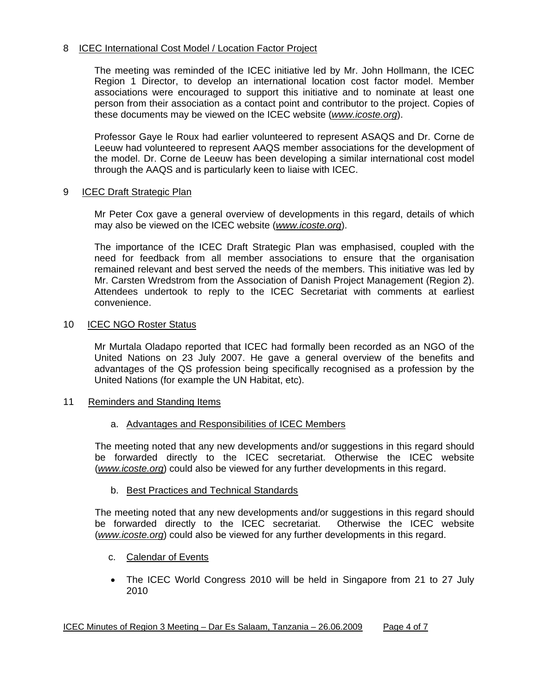#### 8 ICEC International Cost Model / Location Factor Project

The meeting was reminded of the ICEC initiative led by Mr. John Hollmann, the ICEC Region 1 Director, to develop an international location cost factor model. Member associations were encouraged to support this initiative and to nominate at least one person from their association as a contact point and contributor to the project. Copies of these documents may be viewed on the ICEC website (*www.icoste.org*).

Professor Gaye le Roux had earlier volunteered to represent ASAQS and Dr. Corne de Leeuw had volunteered to represent AAQS member associations for the development of the model. Dr. Corne de Leeuw has been developing a similar international cost model through the AAQS and is particularly keen to liaise with ICEC.

#### 9 ICEC Draft Strategic Plan

Mr Peter Cox gave a general overview of developments in this regard, details of which may also be viewed on the ICEC website (*www.icoste.org*).

The importance of the ICEC Draft Strategic Plan was emphasised, coupled with the need for feedback from all member associations to ensure that the organisation remained relevant and best served the needs of the members. This initiative was led by Mr. Carsten Wredstrom from the Association of Danish Project Management (Region 2). Attendees undertook to reply to the ICEC Secretariat with comments at earliest convenience.

#### 10 ICEC NGO Roster Status

Mr Murtala Oladapo reported that ICEC had formally been recorded as an NGO of the United Nations on 23 July 2007. He gave a general overview of the benefits and advantages of the QS profession being specifically recognised as a profession by the United Nations (for example the UN Habitat, etc).

11 Reminders and Standing Items

#### a. Advantages and Responsibilities of ICEC Members

The meeting noted that any new developments and/or suggestions in this regard should be forwarded directly to the ICEC secretariat. Otherwise the ICEC website (*www.icoste.org*) could also be viewed for any further developments in this regard.

b. Best Practices and Technical Standards

The meeting noted that any new developments and/or suggestions in this regard should be forwarded directly to the ICEC secretariat. Otherwise the ICEC website (*www.icoste.org*) could also be viewed for any further developments in this regard.

- c. Calendar of Events
- The ICEC World Congress 2010 will be held in Singapore from 21 to 27 July 2010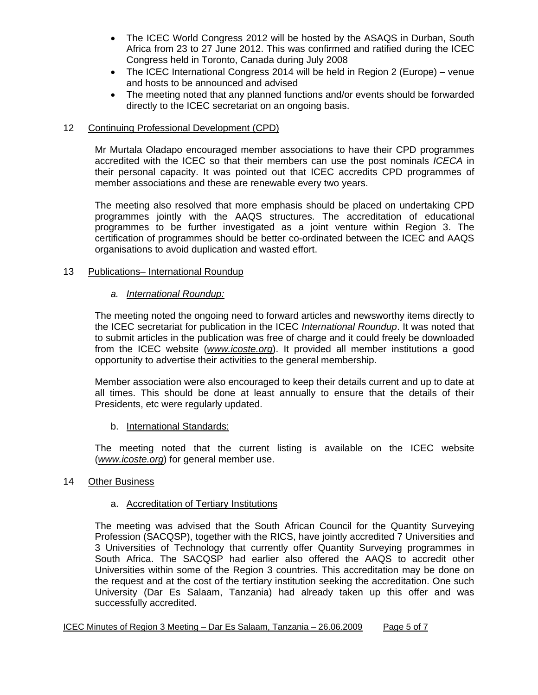- The ICEC World Congress 2012 will be hosted by the ASAQS in Durban, South Africa from 23 to 27 June 2012. This was confirmed and ratified during the ICEC Congress held in Toronto, Canada during July 2008
- The ICEC International Congress 2014 will be held in Region 2 (Europe) venue and hosts to be announced and advised
- The meeting noted that any planned functions and/or events should be forwarded directly to the ICEC secretariat on an ongoing basis.

#### 12 Continuing Professional Development (CPD)

Mr Murtala Oladapo encouraged member associations to have their CPD programmes accredited with the ICEC so that their members can use the post nominals *ICECA* in their personal capacity. It was pointed out that ICEC accredits CPD programmes of member associations and these are renewable every two years.

The meeting also resolved that more emphasis should be placed on undertaking CPD programmes jointly with the AAQS structures. The accreditation of educational programmes to be further investigated as a joint venture within Region 3. The certification of programmes should be better co-ordinated between the ICEC and AAQS organisations to avoid duplication and wasted effort.

#### 13 Publications– International Roundup

#### *a. International Roundup:*

The meeting noted the ongoing need to forward articles and newsworthy items directly to the ICEC secretariat for publication in the ICEC *International Roundup*. It was noted that to submit articles in the publication was free of charge and it could freely be downloaded from the ICEC website (*www.icoste.org*). It provided all member institutions a good opportunity to advertise their activities to the general membership.

Member association were also encouraged to keep their details current and up to date at all times. This should be done at least annually to ensure that the details of their Presidents, etc were regularly updated.

#### b. International Standards:

The meeting noted that the current listing is available on the ICEC website (*www.icoste.org*) for general member use.

#### 14 Other Business

#### a. Accreditation of Tertiary Institutions

The meeting was advised that the South African Council for the Quantity Surveying Profession (SACQSP), together with the RICS, have jointly accredited 7 Universities and 3 Universities of Technology that currently offer Quantity Surveying programmes in South Africa. The SACQSP had earlier also offered the AAQS to accredit other Universities within some of the Region 3 countries. This accreditation may be done on the request and at the cost of the tertiary institution seeking the accreditation. One such University (Dar Es Salaam, Tanzania) had already taken up this offer and was successfully accredited.

ICEC Minutes of Region 3 Meeting – Dar Es Salaam, Tanzania – 26.06.2009 Page 5 of 7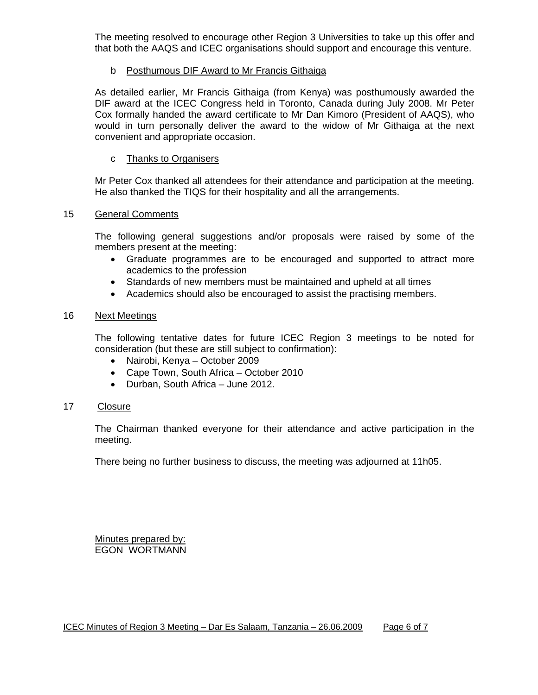The meeting resolved to encourage other Region 3 Universities to take up this offer and that both the AAQS and ICEC organisations should support and encourage this venture.

#### b Posthumous DIF Award to Mr Francis Githaiga

As detailed earlier, Mr Francis Githaiga (from Kenya) was posthumously awarded the DIF award at the ICEC Congress held in Toronto, Canada during July 2008. Mr Peter Cox formally handed the award certificate to Mr Dan Kimoro (President of AAQS), who would in turn personally deliver the award to the widow of Mr Githaiga at the next convenient and appropriate occasion.

#### c Thanks to Organisers

Mr Peter Cox thanked all attendees for their attendance and participation at the meeting. He also thanked the TIQS for their hospitality and all the arrangements.

#### 15 General Comments

The following general suggestions and/or proposals were raised by some of the members present at the meeting:

- Graduate programmes are to be encouraged and supported to attract more academics to the profession
- Standards of new members must be maintained and upheld at all times
- Academics should also be encouraged to assist the practising members.

#### 16 Next Meetings

The following tentative dates for future ICEC Region 3 meetings to be noted for consideration (but these are still subject to confirmation):

- Nairobi, Kenya October 2009
- Cape Town, South Africa October 2010
- Durban, South Africa June 2012.

#### 17 Closure

The Chairman thanked everyone for their attendance and active participation in the meeting.

There being no further business to discuss, the meeting was adjourned at 11h05.

Minutes prepared by: EGON WORTMANN